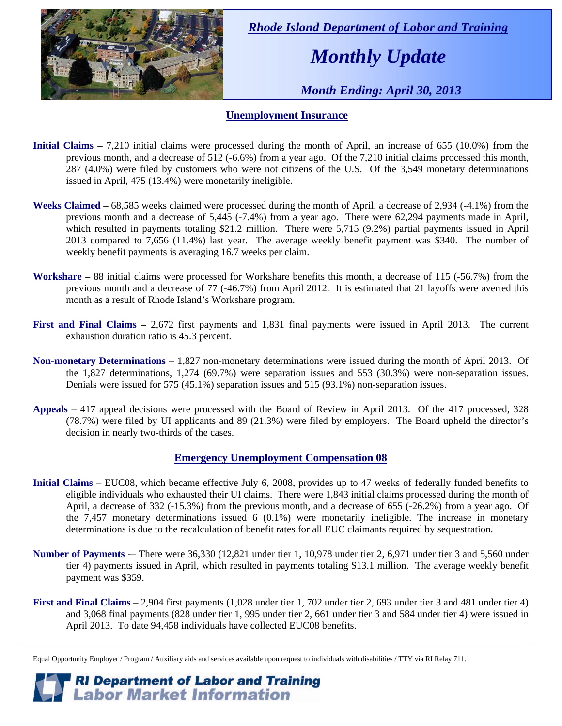

 *Rhode Island Department of Labor and Training* 

# *Monthly Update*

 *Month Ending: April 30, 2013* 

#### **Unemployment Insurance**

- **Initial Claims** 7,210 initial claims were processed during the month of April, an increase of 655 (10.0%) from the previous month, and a decrease of 512 (-6.6%) from a year ago. Of the 7,210 initial claims processed this month, 287 (4.0%) were filed by customers who were not citizens of the U.S. Of the 3,549 monetary determinations issued in April, 475 (13.4%) were monetarily ineligible.
- **Weeks Claimed** 68,585 weeks claimed were processed during the month of April, a decrease of 2,934 (-4.1%) from the previous month and a decrease of 5,445 (-7.4%) from a year ago. There were 62,294 payments made in April, which resulted in payments totaling \$21.2 million. There were 5,715 (9.2%) partial payments issued in April 2013 compared to 7,656 (11.4%) last year. The average weekly benefit payment was \$340. The number of weekly benefit payments is averaging 16.7 weeks per claim.
- **Workshare –** 88 initial claims were processed for Workshare benefits this month, a decrease of 115 (-56.7%) from the previous month and a decrease of 77 (-46.7%) from April 2012. It is estimated that 21 layoffs were averted this month as a result of Rhode Island's Workshare program.
- **First and Final Claims –** 2,672 first payments and 1,831 final payments were issued in April 2013. The current exhaustion duration ratio is 45.3 percent.
- **Non-monetary Determinations –** 1,827 non-monetary determinations were issued during the month of April 2013. Of the 1,827 determinations, 1,274 (69.7%) were separation issues and 553 (30.3%) were non-separation issues. Denials were issued for 575 (45.1%) separation issues and 515 (93.1%) non-separation issues.
- **Appeals** 417 appeal decisions were processed with the Board of Review in April 2013. Of the 417 processed, 328 (78.7%) were filed by UI applicants and 89 (21.3%) were filed by employers. The Board upheld the director's decision in nearly two-thirds of the cases.

#### **Emergency Unemployment Compensation 08**

- **Initial Claims**  EUC08, which became effective July 6, 2008, provides up to 47 weeks of federally funded benefits to eligible individuals who exhausted their UI claims. There were 1,843 initial claims processed during the month of April, a decrease of 332 (-15.3%) from the previous month, and a decrease of 655 (-26.2%) from a year ago. Of the 7,457 monetary determinations issued 6 (0.1%) were monetarily ineligible. The increase in monetary determinations is due to the recalculation of benefit rates for all EUC claimants required by sequestration.
- **Number of Payments** -– There were 36,330 (12,821 under tier 1, 10,978 under tier 2, 6,971 under tier 3 and 5,560 under tier 4) payments issued in April, which resulted in payments totaling \$13.1 million. The average weekly benefit payment was \$359.
- **First and Final Claims**  2,904 first payments (1,028 under tier 1, 702 under tier 2, 693 under tier 3 and 481 under tier 4) and 3,068 final payments (828 under tier 1, 995 under tier 2, 661 under tier 3 and 584 under tier 4) were issued in April 2013. To date 94,458 individuals have collected EUC08 benefits.

**RI Department of Labor and Training<br>
Labor Market Information** 

Equal Opportunity Employer / Program / Auxiliary aids and services available upon request to individuals with disabilities / TTY via RI Relay 711.